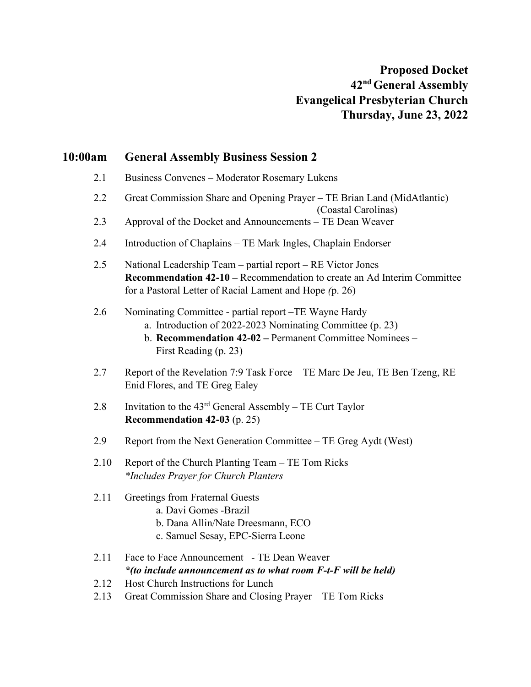# **10:00am General Assembly Business Session 2**

- 2.1 Business Convenes Moderator Rosemary Lukens
- 2.2 Great Commission Share and Opening Prayer TE Brian Land (MidAtlantic)
	- (Coastal Carolinas)
- 2.3 Approval of the Docket and Announcements TE Dean Weaver
- 2.4 Introduction of Chaplains TE Mark Ingles, Chaplain Endorser
- 2.5 National Leadership Team partial report RE Victor Jones **Recommendation 42-10 –** Recommendation to create an Ad Interim Committee for a Pastoral Letter of Racial Lament and Hope *(*p. 26)
- 2.6 Nominating Committee partial report –TE Wayne Hardy
	- a. Introduction of 2022-2023 Nominating Committee (p. 23)
	- b. **Recommendation 42-02 –** Permanent Committee Nominees First Reading (p. 23)
- 2.7 Report of the Revelation 7:9 Task Force TE Marc De Jeu, TE Ben Tzeng, RE Enid Flores, and TE Greg Ealey
- 2.8 Invitation to the  $43<sup>rd</sup>$  General Assembly TE Curt Taylor **Recommendation 42-03** (p. 25)
- 2.9 Report from the Next Generation Committee TE Greg Aydt (West)
- 2.10 Report of the Church Planting Team TE Tom Ricks *\*Includes Prayer for Church Planters*
- 2.11 Greetings from Fraternal Guests
	- a. Davi Gomes -Brazil
	- b. Dana Allin/Nate Dreesmann, ECO
	- c. Samuel Sesay, EPC-Sierra Leone
- 2.11 Face to Face Announcement TE Dean Weaver *\*(to include announcement as to what room F-t-F will be held)*
- 2.12 Host Church Instructions for Lunch
- 2.13 Great Commission Share and Closing Prayer TE Tom Ricks